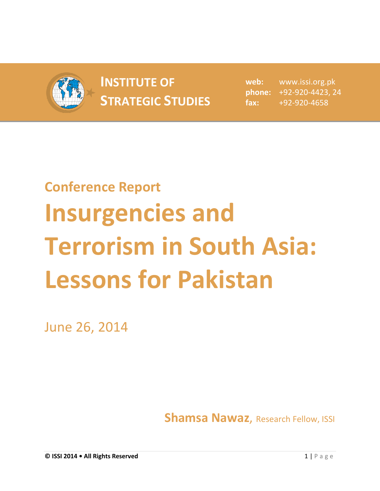

## **INSTITUTE OF INSTITUTE OF** web:<br> **STRATEGIC STUDIES** fax:

**web:** www.issi.org.pk **phone:** +92-920-4423, 24 **fax:** +92-920-4658

## **Conference Report Insurgencies and Terrorism in South Asia: Lessons for Pakistan**

June 26, 2014

**Shamsa Nawaz**, Research Fellow, ISSI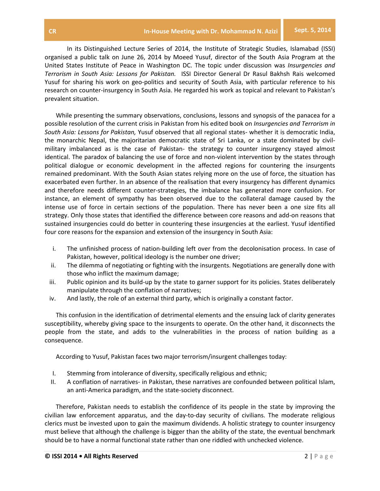In its Distinguished Lecture Series of 2014, the Institute of Strategic Studies, Islamabad (ISSI) organised a public talk on June 26, 2014 by Moeed Yusuf, director of the South Asia Program at the United States Institute of Peace in Washington DC. The topic under discussion was *Insurgencies and Terrorism in South Asia: Lessons for Pakistan.* ISSI Director General Dr Rasul Bakhsh Rais welcomed Yusuf for sharing his work on geo-politics and security of South Asia, with particular reference to his research on counter-insurgency in South Asia. He regarded his work as topical and relevant to Pakistan's prevalent situation.

While presenting the summary observations, conclusions, lessons and synopsis of the panacea for a possible resolution of the current crisis in Pakistan from his edited book on *Insurgencies and Terrorism in South Asia: Lessons for Pakistan,* Yusuf observed that all regional states- whether it is democratic India, the monarchic Nepal, the majoritarian democratic state of Sri Lanka, or a state dominated by civilmilitary imbalanced as is the case of Pakistan- the strategy to counter insurgency stayed almost identical. The paradox of balancing the use of force and non-violent intervention by the states through political dialogue or economic development in the affected regions for countering the insurgents remained predominant. With the South Asian states relying more on the use of force, the situation has exacerbated even further. In an absence of the realisation that every insurgency has different dynamics and therefore needs different counter-strategies, the imbalance has generated more confusion. For instance, an element of sympathy has been observed due to the collateral damage caused by the intense use of force in certain sections of the population. There has never been a one size fits all strategy. Only those states that identified the difference between core reasons and add-on reasons that sustained insurgencies could do better in countering these insurgencies at the earliest. Yusuf identified four core reasons for the expansion and extension of the insurgency in South Asia:

- i. The unfinished process of nation-building left over from the decolonisation process. In case of Pakistan, however, political ideology is the number one driver;
- ii. The dilemma of negotiating or fighting with the insurgents. Negotiations are generally done with those who inflict the maximum damage;
- iii. Public opinion and its build-up by the state to garner support for its policies. States deliberately manipulate through the conflation of narratives;
- iv. And lastly, the role of an external third party, which is originally a constant factor.

This confusion in the identification of detrimental elements and the ensuing lack of clarity generates susceptibility, whereby giving space to the insurgents to operate. On the other hand, it disconnects the people from the state, and adds to the vulnerabilities in the process of nation building as a consequence.

According to Yusuf, Pakistan faces two major terrorism/insurgent challenges today:

- I. Stemming from intolerance of diversity, specifically religious and ethnic;
- II. A conflation of narratives- in Pakistan, these narratives are confounded between political Islam, an anti-America paradigm, and the state-society disconnect.

Therefore, Pakistan needs to establish the confidence of its people in the state by improving the civilian law enforcement apparatus, and the day-to-day security of civilians. The moderate religious clerics must be invested upon to gain the maximum dividends. A holistic strategy to counter insurgency must believe that although the challenge is bigger than the ability of the state, the eventual benchmark should be to have a normal functional state rather than one riddled with unchecked violence.